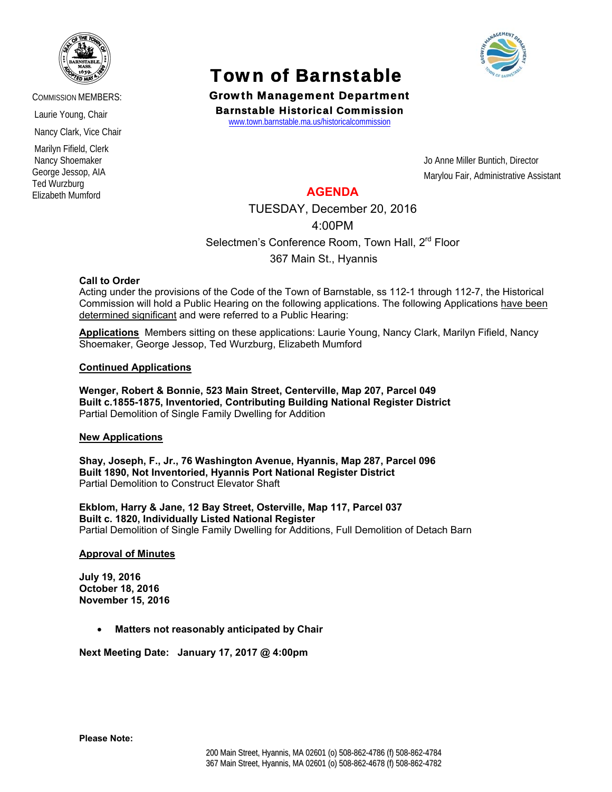

COMMISSION MEMBERS:

Laurie Young, Chair

Nancy Clark, Vice Chair

 Marilyn Fifield, Clerk Nancy Shoemaker George Jessop, AIA Ted Wurzburg Elizabeth Mumford

# Town of Barnstable Growth Management Department

Barnstable Historical Commission

www.town.barnstable.ma.us/historicalcommission

Jo Anne Miller Buntich, Director Marylou Fair, Administrative Assistant

## **AGENDA**

TUESDAY, December 20, 2016

4:00PM

Selectmen's Conference Room, Town Hall, 2<sup>rd</sup> Floor

367 Main St., Hyannis

### **Call to Order**

Acting under the provisions of the Code of the Town of Barnstable, ss 112-1 through 112-7, the Historical Commission will hold a Public Hearing on the following applications. The following Applications have been determined significant and were referred to a Public Hearing:

**Applications** Members sitting on these applications: Laurie Young, Nancy Clark, Marilyn Fifield, Nancy Shoemaker, George Jessop, Ted Wurzburg, Elizabeth Mumford

### **Continued Applications**

**Wenger, Robert & Bonnie, 523 Main Street, Centerville, Map 207, Parcel 049 Built c.1855-1875, Inventoried, Contributing Building National Register District**  Partial Demolition of Single Family Dwelling for Addition

### **New Applications**

**Shay, Joseph, F., Jr., 76 Washington Avenue, Hyannis, Map 287, Parcel 096 Built 1890, Not Inventoried, Hyannis Port National Register District**  Partial Demolition to Construct Elevator Shaft

**Ekblom, Harry & Jane, 12 Bay Street, Osterville, Map 117, Parcel 037 Built c. 1820, Individually Listed National Register**  Partial Demolition of Single Family Dwelling for Additions, Full Demolition of Detach Barn

### **Approval of Minutes**

**July 19, 2016 October 18, 2016 November 15, 2016** 

• **Matters not reasonably anticipated by Chair** 

**Next Meeting Date: January 17, 2017 @ 4:00pm**